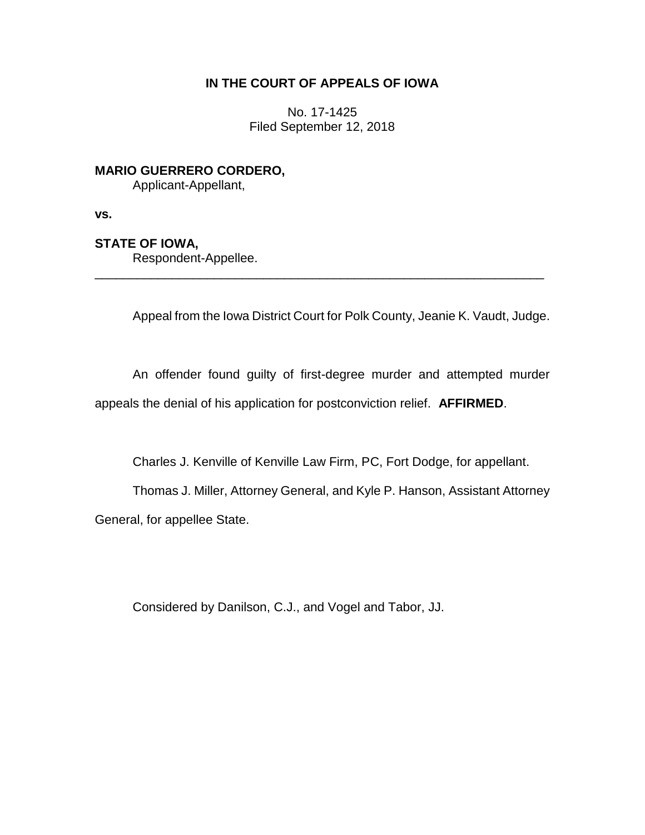# **IN THE COURT OF APPEALS OF IOWA**

No. 17-1425 Filed September 12, 2018

**MARIO GUERRERO CORDERO,**

Applicant-Appellant,

**vs.**

# **STATE OF IOWA,**

Respondent-Appellee.

Appeal from the Iowa District Court for Polk County, Jeanie K. Vaudt, Judge.

An offender found guilty of first-degree murder and attempted murder appeals the denial of his application for postconviction relief. **AFFIRMED**.

\_\_\_\_\_\_\_\_\_\_\_\_\_\_\_\_\_\_\_\_\_\_\_\_\_\_\_\_\_\_\_\_\_\_\_\_\_\_\_\_\_\_\_\_\_\_\_\_\_\_\_\_\_\_\_\_\_\_\_\_\_\_\_\_

Charles J. Kenville of Kenville Law Firm, PC, Fort Dodge, for appellant.

Thomas J. Miller, Attorney General, and Kyle P. Hanson, Assistant Attorney General, for appellee State.

Considered by Danilson, C.J., and Vogel and Tabor, JJ.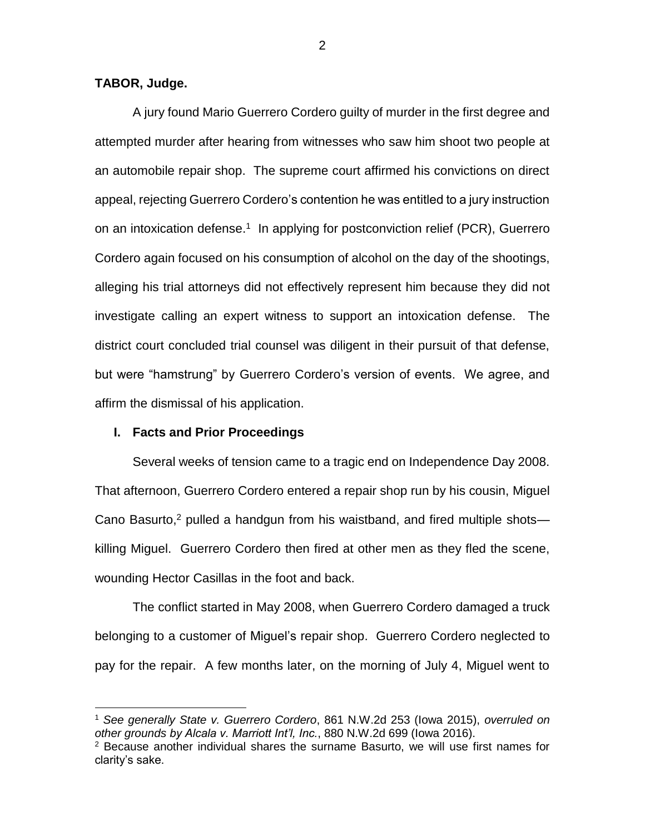## **TABOR, Judge.**

A jury found Mario Guerrero Cordero guilty of murder in the first degree and attempted murder after hearing from witnesses who saw him shoot two people at an automobile repair shop. The supreme court affirmed his convictions on direct appeal, rejecting Guerrero Cordero's contention he was entitled to a jury instruction on an intoxication defense.<sup>1</sup> In applying for postconviction relief (PCR), Guerrero Cordero again focused on his consumption of alcohol on the day of the shootings, alleging his trial attorneys did not effectively represent him because they did not investigate calling an expert witness to support an intoxication defense. The district court concluded trial counsel was diligent in their pursuit of that defense, but were "hamstrung" by Guerrero Cordero's version of events. We agree, and affirm the dismissal of his application.

### **I. Facts and Prior Proceedings**

 $\overline{a}$ 

Several weeks of tension came to a tragic end on Independence Day 2008. That afternoon, Guerrero Cordero entered a repair shop run by his cousin, Miguel Cano Basurto,<sup>2</sup> pulled a handgun from his waistband, and fired multiple shotskilling Miguel. Guerrero Cordero then fired at other men as they fled the scene, wounding Hector Casillas in the foot and back.

The conflict started in May 2008, when Guerrero Cordero damaged a truck belonging to a customer of Miguel's repair shop. Guerrero Cordero neglected to pay for the repair. A few months later, on the morning of July 4, Miguel went to

<sup>1</sup> *See generally State v. Guerrero Cordero*, 861 N.W.2d 253 (Iowa 2015), *overruled on other grounds by Alcala v. Marriott Int'l, Inc.*, 880 N.W.2d 699 (Iowa 2016).

 $2$  Because another individual shares the surname Basurto, we will use first names for clarity's sake.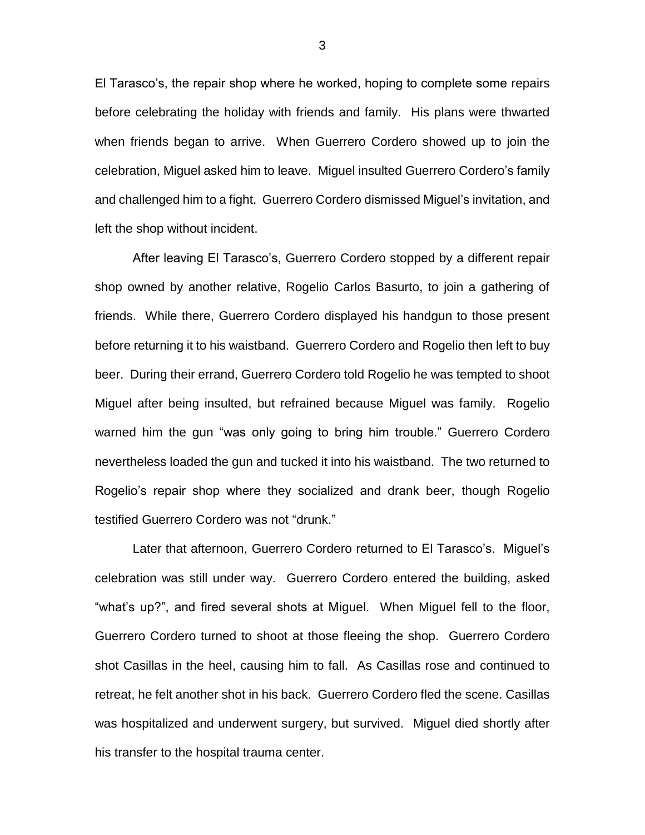El Tarasco's, the repair shop where he worked, hoping to complete some repairs before celebrating the holiday with friends and family. His plans were thwarted when friends began to arrive. When Guerrero Cordero showed up to join the celebration, Miguel asked him to leave. Miguel insulted Guerrero Cordero's family and challenged him to a fight. Guerrero Cordero dismissed Miguel's invitation, and left the shop without incident.

After leaving El Tarasco's, Guerrero Cordero stopped by a different repair shop owned by another relative, Rogelio Carlos Basurto, to join a gathering of friends. While there, Guerrero Cordero displayed his handgun to those present before returning it to his waistband. Guerrero Cordero and Rogelio then left to buy beer. During their errand, Guerrero Cordero told Rogelio he was tempted to shoot Miguel after being insulted, but refrained because Miguel was family. Rogelio warned him the gun "was only going to bring him trouble." Guerrero Cordero nevertheless loaded the gun and tucked it into his waistband. The two returned to Rogelio's repair shop where they socialized and drank beer, though Rogelio testified Guerrero Cordero was not "drunk."

Later that afternoon, Guerrero Cordero returned to El Tarasco's. Miguel's celebration was still under way. Guerrero Cordero entered the building, asked "what's up?", and fired several shots at Miguel. When Miguel fell to the floor, Guerrero Cordero turned to shoot at those fleeing the shop. Guerrero Cordero shot Casillas in the heel, causing him to fall. As Casillas rose and continued to retreat, he felt another shot in his back. Guerrero Cordero fled the scene. Casillas was hospitalized and underwent surgery, but survived. Miguel died shortly after his transfer to the hospital trauma center.

3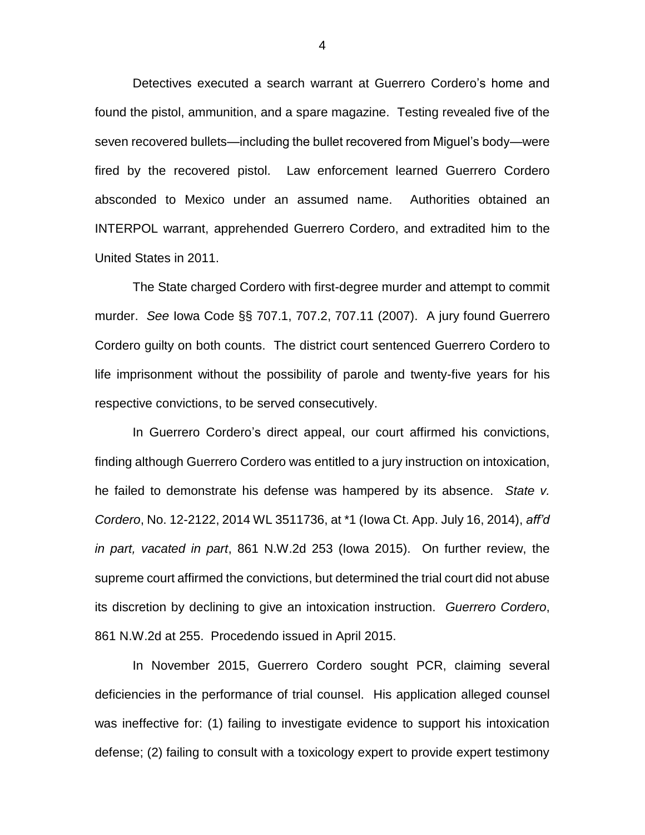Detectives executed a search warrant at Guerrero Cordero's home and found the pistol, ammunition, and a spare magazine. Testing revealed five of the seven recovered bullets—including the bullet recovered from Miguel's body—were fired by the recovered pistol. Law enforcement learned Guerrero Cordero absconded to Mexico under an assumed name. Authorities obtained an INTERPOL warrant, apprehended Guerrero Cordero, and extradited him to the United States in 2011.

The State charged Cordero with first-degree murder and attempt to commit murder. *See* Iowa Code §§ 707.1, 707.2, 707.11 (2007). A jury found Guerrero Cordero guilty on both counts. The district court sentenced Guerrero Cordero to life imprisonment without the possibility of parole and twenty-five years for his respective convictions, to be served consecutively.

In Guerrero Cordero's direct appeal, our court affirmed his convictions, finding although Guerrero Cordero was entitled to a jury instruction on intoxication, he failed to demonstrate his defense was hampered by its absence. *State v. Cordero*, No. 12-2122, 2014 WL 3511736, at \*1 (Iowa Ct. App. July 16, 2014), *aff'd in part, vacated in part*, 861 N.W.2d 253 (Iowa 2015). On further review, the supreme court affirmed the convictions, but determined the trial court did not abuse its discretion by declining to give an intoxication instruction. *Guerrero Cordero*, 861 N.W.2d at 255. Procedendo issued in April 2015.

In November 2015, Guerrero Cordero sought PCR, claiming several deficiencies in the performance of trial counsel. His application alleged counsel was ineffective for: (1) failing to investigate evidence to support his intoxication defense; (2) failing to consult with a toxicology expert to provide expert testimony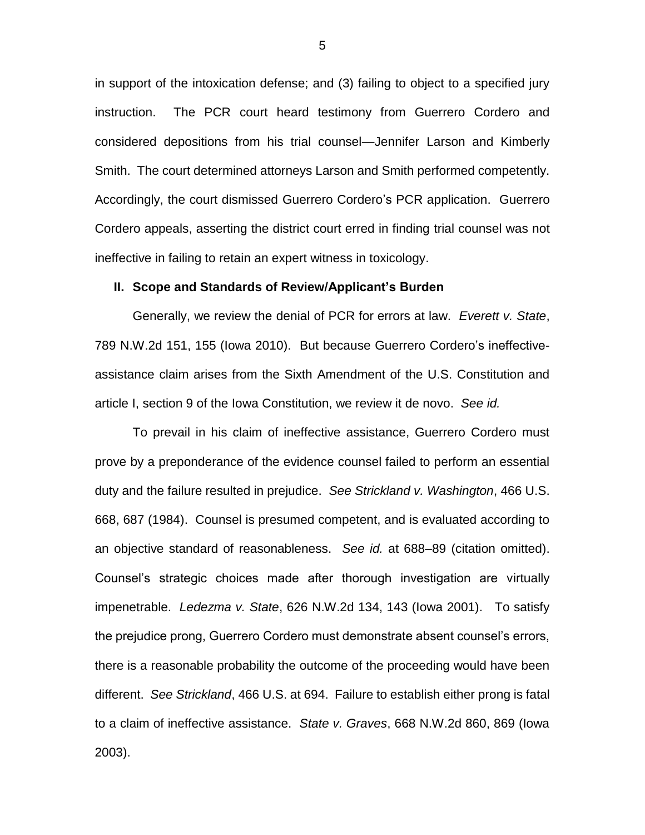in support of the intoxication defense; and (3) failing to object to a specified jury instruction. The PCR court heard testimony from Guerrero Cordero and considered depositions from his trial counsel—Jennifer Larson and Kimberly Smith. The court determined attorneys Larson and Smith performed competently. Accordingly, the court dismissed Guerrero Cordero's PCR application. Guerrero Cordero appeals, asserting the district court erred in finding trial counsel was not ineffective in failing to retain an expert witness in toxicology.

#### **II. Scope and Standards of Review/Applicant's Burden**

Generally, we review the denial of PCR for errors at law. *Everett v. State*, 789 N.W.2d 151, 155 (Iowa 2010). But because Guerrero Cordero's ineffectiveassistance claim arises from the Sixth Amendment of the U.S. Constitution and article I, section 9 of the Iowa Constitution, we review it de novo. *See id.*

To prevail in his claim of ineffective assistance, Guerrero Cordero must prove by a preponderance of the evidence counsel failed to perform an essential duty and the failure resulted in prejudice. *See Strickland v. Washington*, 466 U.S. 668, 687 (1984). Counsel is presumed competent, and is evaluated according to an objective standard of reasonableness. *See id.* at 688–89 (citation omitted). Counsel's strategic choices made after thorough investigation are virtually impenetrable. *Ledezma v. State*, 626 N.W.2d 134, 143 (Iowa 2001). To satisfy the prejudice prong, Guerrero Cordero must demonstrate absent counsel's errors, there is a reasonable probability the outcome of the proceeding would have been different. *See Strickland*, 466 U.S. at 694. Failure to establish either prong is fatal to a claim of ineffective assistance. *State v. Graves*, 668 N.W.2d 860, 869 (Iowa 2003).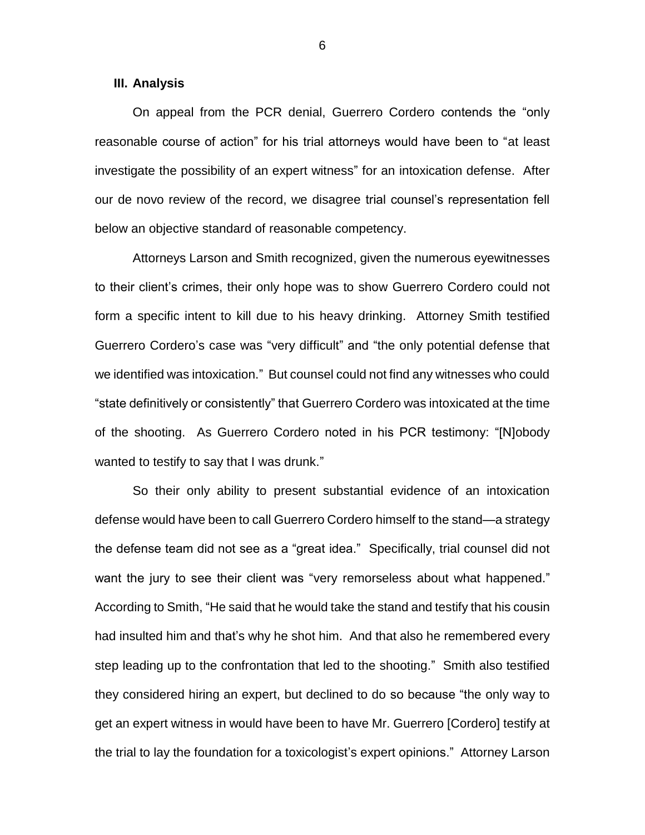#### **III. Analysis**

On appeal from the PCR denial, Guerrero Cordero contends the "only reasonable course of action" for his trial attorneys would have been to "at least investigate the possibility of an expert witness" for an intoxication defense. After our de novo review of the record, we disagree trial counsel's representation fell below an objective standard of reasonable competency.

Attorneys Larson and Smith recognized, given the numerous eyewitnesses to their client's crimes, their only hope was to show Guerrero Cordero could not form a specific intent to kill due to his heavy drinking. Attorney Smith testified Guerrero Cordero's case was "very difficult" and "the only potential defense that we identified was intoxication." But counsel could not find any witnesses who could "state definitively or consistently" that Guerrero Cordero was intoxicated at the time of the shooting. As Guerrero Cordero noted in his PCR testimony: "[N]obody wanted to testify to say that I was drunk."

So their only ability to present substantial evidence of an intoxication defense would have been to call Guerrero Cordero himself to the stand—a strategy the defense team did not see as a "great idea." Specifically, trial counsel did not want the jury to see their client was "very remorseless about what happened." According to Smith, "He said that he would take the stand and testify that his cousin had insulted him and that's why he shot him. And that also he remembered every step leading up to the confrontation that led to the shooting." Smith also testified they considered hiring an expert, but declined to do so because "the only way to get an expert witness in would have been to have Mr. Guerrero [Cordero] testify at the trial to lay the foundation for a toxicologist's expert opinions." Attorney Larson

6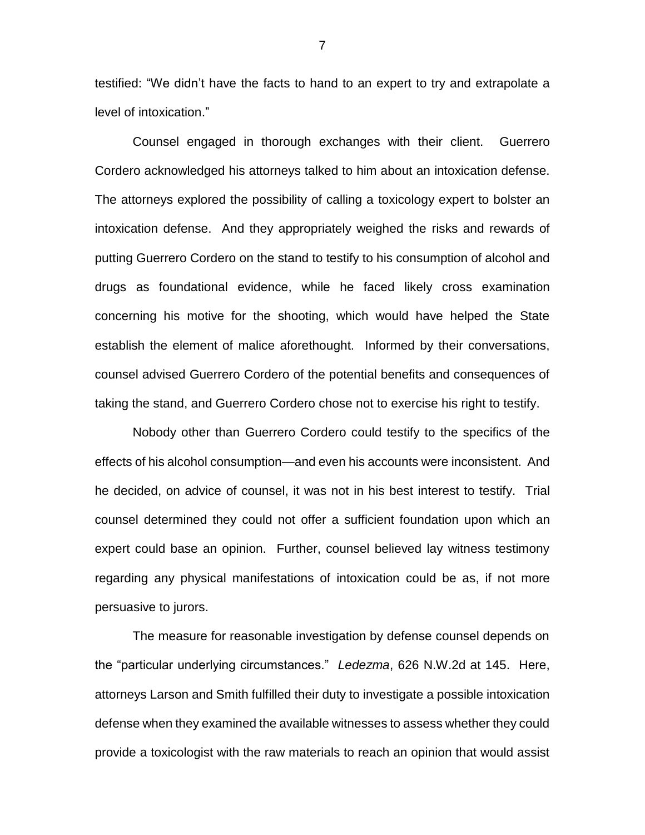testified: "We didn't have the facts to hand to an expert to try and extrapolate a level of intoxication."

Counsel engaged in thorough exchanges with their client. Guerrero Cordero acknowledged his attorneys talked to him about an intoxication defense. The attorneys explored the possibility of calling a toxicology expert to bolster an intoxication defense. And they appropriately weighed the risks and rewards of putting Guerrero Cordero on the stand to testify to his consumption of alcohol and drugs as foundational evidence, while he faced likely cross examination concerning his motive for the shooting, which would have helped the State establish the element of malice aforethought. Informed by their conversations, counsel advised Guerrero Cordero of the potential benefits and consequences of taking the stand, and Guerrero Cordero chose not to exercise his right to testify.

Nobody other than Guerrero Cordero could testify to the specifics of the effects of his alcohol consumption—and even his accounts were inconsistent. And he decided, on advice of counsel, it was not in his best interest to testify. Trial counsel determined they could not offer a sufficient foundation upon which an expert could base an opinion. Further, counsel believed lay witness testimony regarding any physical manifestations of intoxication could be as, if not more persuasive to jurors.

The measure for reasonable investigation by defense counsel depends on the "particular underlying circumstances." *Ledezma*, 626 N.W.2d at 145. Here, attorneys Larson and Smith fulfilled their duty to investigate a possible intoxication defense when they examined the available witnesses to assess whether they could provide a toxicologist with the raw materials to reach an opinion that would assist

7